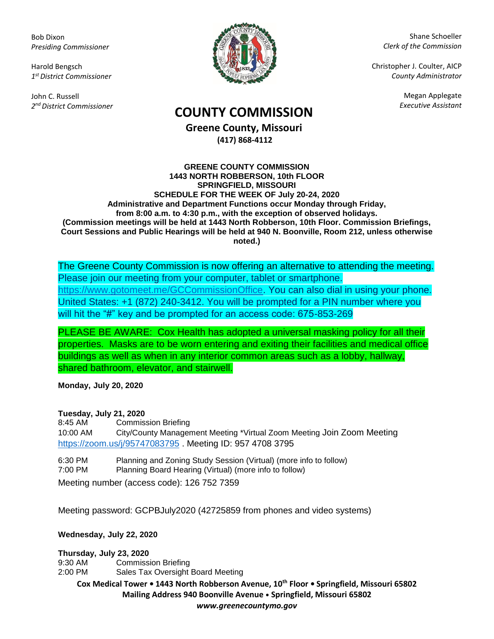Bob Dixon *Presiding Commissioner*

Harold Bengsch *1 st District Commissioner*

John C. Russell *2 nd District Commissioner*



Shane Schoeller *Clerk of the Commission*

Christopher J. Coulter, AICP *County Administrator*

Megan Applegate

## *Executive Assistant* **COUNTY COMMISSION**

**Greene County, Missouri (417) 868-4112**

## **GREENE COUNTY COMMISSION 1443 NORTH ROBBERSON, 10th FLOOR SPRINGFIELD, MISSOURI SCHEDULE FOR THE WEEK OF July 20-24, 2020 Administrative and Department Functions occur Monday through Friday, from 8:00 a.m. to 4:30 p.m., with the exception of observed holidays. (Commission meetings will be held at 1443 North Robberson, 10th Floor. Commission Briefings, Court Sessions and Public Hearings will be held at 940 N. Boonville, Room 212, unless otherwise noted.)**

The Greene County Commission is now offering an alternative to attending the meeting. Please join our meeting from your computer, tablet or smartphone. [https://www.gotomeet.me/GCCommissionOffice.](https://www.gotomeet.me/GCCommissionOffice) You can also dial in using your phone. United States: +1 (872) 240-3412. You will be prompted for a PIN number where you will hit the "#" key and be prompted for an access code: 675-853-269

PLEASE BE AWARE: Cox Health has adopted a universal masking policy for all their properties. Masks are to be worn entering and exiting their facilities and medical office buildings as well as when in any interior common areas such as a lobby, hallway, shared bathroom, elevator, and stairwell.

**Monday, July 20, 2020**

## **Tuesday, July 21, 2020**

8:45 AM Commission Briefing 10:00 AM City/County Management Meeting \*Virtual Zoom Meeting Join Zoom Meeting <https://zoom.us/j/95747083795> . Meeting ID: 957 4708 3795

6:30 PM Planning and Zoning Study Session (Virtual) (more info to follow) 7:00 PM Planning Board Hearing (Virtual) (more info to follow)

Meeting number (access code): 126 752 7359

Meeting password: GCPBJuly2020 (42725859 from phones and video systems)

## **Wednesday, July 22, 2020**

**Thursday, July 23, 2020**

9:30 AM Commission Briefing

2:00 PM Sales Tax Oversight Board Meeting

**Cox Medical Tower • 1443 North Robberson Avenue, 10th Floor • Springfield, Missouri 65802 Mailing Address 940 Boonville Avenue • Springfield, Missouri 65802** *www.greenecountymo.gov*